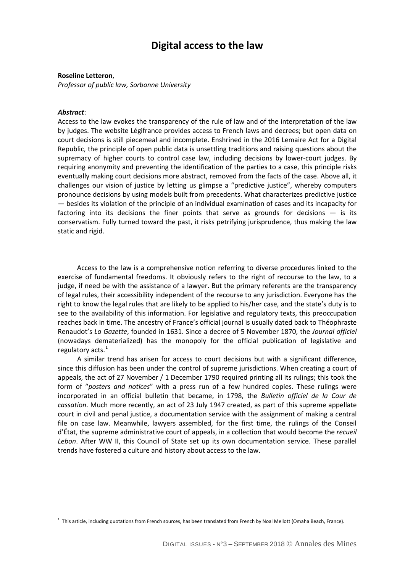# **Digital access to the law**

### **Roseline Letteron**,

*Professor of public law, Sorbonne University*

#### *Abstract*:

 $\overline{a}$ 

Access to the law evokes the transparency of the rule of law and of the interpretation of the law by judges. The website Légifrance provides access to French laws and decrees; but open data on court decisions is still piecemeal and incomplete. Enshrined in the 2016 Lemaire Act for a Digital Republic, the principle of open public data is unsettling traditions and raising questions about the supremacy of higher courts to control case law, including decisions by lower-court judges. By requiring anonymity and preventing the identification of the parties to a case, this principle risks eventually making court decisions more abstract, removed from the facts of the case. Above all, it challenges our vision of justice by letting us glimpse a "predictive justice", whereby computers pronounce decisions by using models built from precedents. What characterizes predictive justice — besides its violation of the principle of an individual examination of cases and its incapacity for factoring into its decisions the finer points that serve as grounds for decisions  $-$  is its conservatism. Fully turned toward the past, it risks petrifying jurisprudence, thus making the law static and rigid.

Access to the law is a comprehensive notion referring to diverse procedures linked to the exercise of fundamental freedoms. It obviously refers to the right of recourse to the law, to a judge, if need be with the assistance of a lawyer. But the primary referents are the transparency of legal rules, their accessibility independent of the recourse to any jurisdiction. Everyone has the right to know the legal rules that are likely to be applied to his/her case, and the state's duty is to see to the availability of this information. For legislative and regulatory texts, this preoccupation reaches back in time. The ancestry of France's official journal is usually dated back to Théophraste Renaudot's *La Gazette*, founded in 1631. Since a decree of 5 November 1870, the *Journal officiel* (nowadays dematerialized) has the monopoly for the official publication of legislative and regulatory acts.<sup>[1](#page-0-0)</sup>

A similar trend has arisen for access to court decisions but with a significant difference, since this diffusion has been under the control of supreme jurisdictions. When creating a court of appeals, the act of 27 November / 1 December 1790 required printing all its rulings; this took the form of "*posters and notices*" with a press run of a few hundred copies. These rulings were incorporated in an official bulletin that became, in 1798, the *Bulletin officiel de la Cour de cassation*. Much more recently, an act of 23 July 1947 created, as part of this supreme appellate court in civil and penal justice, a documentation service with the assignment of making a central file on case law. Meanwhile, lawyers assembled, for the first time, the rulings of the Conseil d'État, the supreme administrative court of appeals, in a collection that would become the *recueil Lebon*. After WW II, this Council of State set up its own documentation service. These parallel trends have fostered a culture and history about access to the law.

<span id="page-0-0"></span> $^1$  This article, including quotations from French sources, has been translated from French by Noal Mellott (Omaha Beach, France).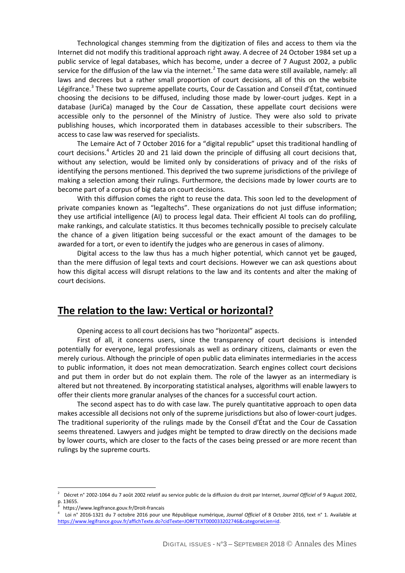Technological changes stemming from the digitization of files and access to them via the Internet did not modify this traditional approach right away. A decree of 24 October 1984 set up a public service of legal databases, which has become, under a decree of 7 August 2002, a public service for the diffusion of the law via the internet.<sup>[2](#page-1-0)</sup> The same data were still available, namely: all laws and decrees but a rather small proportion of court decisions, all of this on the website Légifrance.<sup>[3](#page-1-1)</sup> These two supreme appellate courts, Cour de Cassation and Conseil d'État, continued choosing the decisions to be diffused, including those made by lower-court judges. Kept in a database (JuriCa) managed by the Cour de Cassation, these appellate court decisions were accessible only to the personnel of the Ministry of Justice. They were also sold to private publishing houses, which incorporated them in databases accessible to their subscribers. The access to case law was reserved for specialists.

The Lemaire Act of 7 October 2016 for a "digital republic" upset this traditional handling of court decisions.<sup>[4](#page-1-2)</sup> Articles 20 and 21 laid down the principle of diffusing all court decisions that, without any selection, would be limited only by considerations of privacy and of the risks of identifying the persons mentioned. This deprived the two supreme jurisdictions of the privilege of making a selection among their rulings. Furthermore, the decisions made by lower courts are to become part of a corpus of big data on court decisions.

With this diffusion comes the right to reuse the data. This soon led to the development of private companies known as "legaltechs". These organizations do not just diffuse information; they use artificial intelligence (AI) to process legal data. Their efficient AI tools can do profiling, make rankings, and calculate statistics. It thus becomes technically possible to precisely calculate the chance of a given litigation being successful or the exact amount of the damages to be awarded for a tort, or even to identify the judges who are generous in cases of alimony.

Digital access to the law thus has a much higher potential, which cannot yet be gauged, than the mere diffusion of legal texts and court decisions. However we can ask questions about how this digital access will disrupt relations to the law and its contents and alter the making of court decisions.

## **The relation to the law: Vertical or horizontal?**

Opening access to all court decisions has two "horizontal" aspects.

First of all, it concerns users, since the transparency of court decisions is intended potentially for everyone, legal professionals as well as ordinary citizens, claimants or even the merely curious. Although the principle of open public data eliminates intermediaries in the access to public information, it does not mean democratization. Search engines collect court decisions and put them in order but do not explain them. The role of the lawyer as an intermediary is altered but not threatened. By incorporating statistical analyses, algorithms will enable lawyers to offer their clients more granular analyses of the chances for a successful court action.

The second aspect has to do with case law. The purely quantitative approach to open data makes accessible all decisions not only of the supreme jurisdictions but also of lower-court judges. The traditional superiority of the rulings made by the Conseil d'État and the Cour de Cassation seems threatened. Lawyers and judges might be tempted to draw directly on the decisions made by lower courts, which are closer to the facts of the cases being pressed or are more recent than rulings by the supreme courts.

 $\overline{a}$ 

<span id="page-1-0"></span><sup>2</sup> Décret n° 2002-1064 du 7 août 2002 relatif au service public de la diffusion du droit par Internet, *Journal Officiel* of 9 August 2002, p. 13655.<br> $3 + \frac{1}{2}$ 

https://www.legifrance.gouv.fr/Droit-francais

<span id="page-1-2"></span><span id="page-1-1"></span><sup>4</sup> Loi n° 2016-1321 du 7 octobre 2016 pour une République numérique, *Journal Officiel* of 8 October 2016, text n° 1. Available at [https://www.legifrance.gouv.fr/affichTexte.do?cidTexte=JORFTEXT000033202746&categorieLien=id.](https://www.legifrance.gouv.fr/affichTexte.do?cidTexte=JORFTEXT000033202746&categorieLien=id)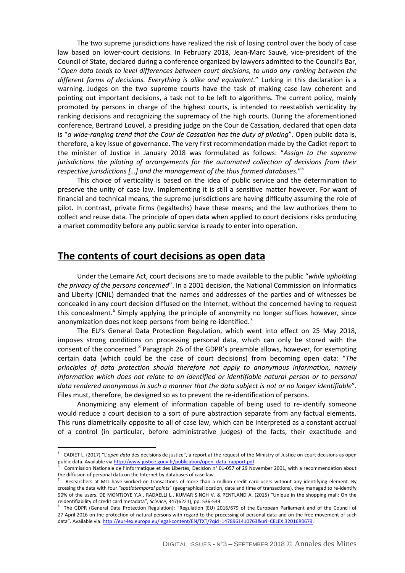The two supreme jurisdictions have realized the risk of losing control over the body of case law based on lower-court decisions. In February 2018, Jean-Marc Sauvé, vice-president of the Council of State, declared during a conference organized by lawyers admitted to the Council's Bar, "*Open data tends to level differences between court decisions, to undo any ranking between the different forms of decisions. Everything is alike and equivalent.*" Lurking in this declaration is a warning. Judges on the two supreme courts have the task of making case law coherent and pointing out important decisions, a task not to be left to algorithms. The current policy, mainly promoted by persons in charge of the highest courts, is intended to reestablish verticality by ranking decisions and recognizing the supremacy of the high courts. During the aforementioned conference, Bertrand Louvel, a presiding judge on the Cour de Cassation, declared that open data is "*a wide-ranging trend that the Cour de Cassation has the duty of piloting*". Open public data is, therefore, a key issue of governance. The very first recommendation made by the Cadiet report to the minister of Justice in January 2018 was formulated as follows: "*Assign to the supreme jurisdictions the piloting of arrangements for the automated collection of decisions from their respective jurisdictions […] and the management of the thus formed databases.*"[5](#page-2-0)

This choice of verticality is based on the idea of public service and the determination to preserve the unity of case law. Implementing it is still a sensitive matter however. For want of financial and technical means, the supreme jurisdictions are having difficulty assuming the role of pilot. In contrast, private firms (legaltechs) have these means; and the law authorizes them to collect and reuse data. The principle of open data when applied to court decisions risks producing a market commodity before any public service is ready to enter into operation.

### **The contents of court decisions as open data**

 $\overline{a}$ 

Under the Lemaire Act, court decisions are to made available to the public "*while upholding the privacy of the persons concerned*". In a 2001 decision, the National Commission on Informatics and Liberty (CNIL) demanded that the names and addresses of the parties and of witnesses be concealed in any court decision diffused on the Internet, without the concerned having to request this concealment.<sup>[6](#page-2-1)</sup> Simply applying the principle of anonymity no longer suffices however, since anonymization does not keep persons from being re-identified.<sup>[7](#page-2-2)</sup>

The EU's General Data Protection Regulation, which went into effect on 25 May 2018, imposes strong conditions on processing personal data, which can only be stored with the consent of the concerned.<sup>[8](#page-2-3)</sup> Paragraph 26 of the GDPR's preamble allows, however, for exempting certain data (which could be the case of court decisions) from becoming open data: "*The principles of data protection should therefore not apply to anonymous information, namely information which does not relate to an identified or identifiable natural person or to personal data rendered anonymous in such a manner that the data subject is not or no longer identifiable*". Files must, therefore, be designed so as to prevent the re-identification of persons.

Anonymizing any element of information capable of being used to re-identify someone would reduce a court decision to a sort of pure abstraction separate from any factual elements. This runs diametrically opposite to all of case law, which can be interpreted as a constant accrual of a control (in particular, before administrative judges) of the facts, their exactitude and

<span id="page-2-0"></span><sup>5</sup> CADIET L. (2017) "L'*open data* des décisions de justice", a report at the request of the Ministry of Justice on court decisions as open public data. Available via [http://www.justice.gouv.fr/publication/open\\_data\\_rapport.pdf.](http://www.justice.gouv.fr/publication/open_data_rapport.pdf)

<span id="page-2-1"></span>Commission Nationale de l'Informatique et des Libertés, Decision n° 01-057 of 29 November 2001, with a recommendation about the diffusion of personal data on the Internet by databases of case law.

<span id="page-2-2"></span><sup>7</sup> Researchers at MIT have worked on transactions of more than a million credit card users without any identifying element. By crossing the data with four "*spatiotemporal points*" (geographical location, date and time of transactions), they managed to re-identify 90% of the users. DE MONTJOYE Y.A., RADAELLI L., KUMAR SINGH V. & PENTLAND A. (2015) "Unique in the shopping mall: On the reidentifiability of credit card metadata", *Science*, 347(6221), pp. 536-539.

<span id="page-2-3"></span><sup>&</sup>lt;sup>8</sup> The GDPR (General Data Protection Regulation): "Regulation (EU) 2016/679 of the European Parliament and of the Council of 27 April 2016 on the protection of natural persons with regard to the processing of personal data and on the free movement of such data". Available via[: http://eur-lex.europa.eu/legal-content/EN/TXT/?qid=1478961410763&uri=CELEX:32016R0679.](http://eur-lex.europa.eu/legal-content/EN/TXT/?qid=1478961410763&uri=CELEX:32016R0679)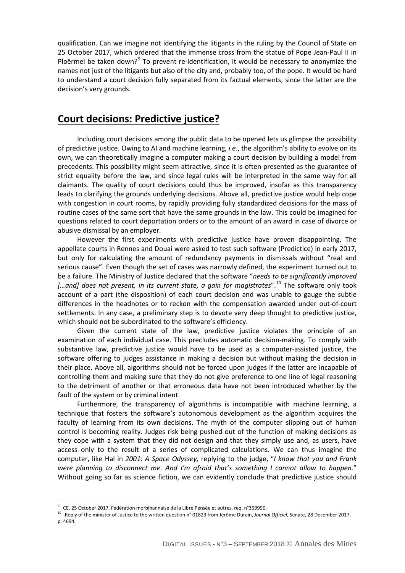qualification. Can we imagine not identifying the litigants in the ruling by the Council of State on 25 October 2017, which ordered that the immense cross from the statue of Pope Jean-Paul II in Ploërmel be taken down?<sup>[9](#page-3-0)</sup> To prevent re-identification, it would be necessary to anonymize the names not just of the litigants but also of the city and, probably too, of the pope. It would be hard to understand a court decision fully separated from its factual elements, since the latter are the decision's very grounds.

# **Court decisions: Predictive justice?**

Including court decisions among the public data to be opened lets us glimpse the possibility of predictive justice. Owing to AI and machine learning, *i.e.*, the algorithm's ability to evolve on its own, we can theoretically imagine a computer making a court decision by building a model from precedents. This possibility might seem attractive, since it is often presented as the guarantee of strict equality before the law, and since legal rules will be interpreted in the same way for all claimants. The quality of court decisions could thus be improved, insofar as this transparency leads to clarifying the grounds underlying decisions. Above all, predictive justice would help cope with congestion in court rooms, by rapidly providing fully standardized decisions for the mass of routine cases of the same sort that have the same grounds in the law. This could be imagined for questions related to court deportation orders or to the amount of an award in case of divorce or abusive dismissal by an employer.

However the first experiments with predictive justice have proven disappointing. The appellate courts in Rennes and Douai were asked to test such software (Predictice) in early 2017, but only for calculating the amount of redundancy payments in dismissals without "real and serious cause". Even though the set of cases was narrowly defined, the experiment turned out to be a failure. The Ministry of Justice declared that the software "*needs to be significantly improved […and] does not present, in its current state, a gain for magistrates*".[10](#page-3-1) The software only took account of a part (the disposition) of each court decision and was unable to gauge the subtle differences in the headnotes or to reckon with the compensation awarded under out-of-court settlements. In any case, a preliminary step is to devote very deep thought to predictive justice, which should not be subordinated to the software's efficiency.

Given the current state of the law, predictive justice violates the principle of an examination of each individual case. This precludes automatic decision-making. To comply with substantive law, predictive justice would have to be used as a computer-assisted justice, the software offering to judges assistance in making a decision but without making the decision in their place. Above all, algorithms should not be forced upon judges if the latter are incapable of controlling them and making sure that they do not give preference to one line of legal reasoning to the detriment of another or that erroneous data have not been introduced whether by the fault of the system or by criminal intent.

Furthermore, the transparency of algorithms is incompatible with machine learning, a technique that fosters the software's autonomous development as the algorithm acquires the faculty of learning from its own decisions. The myth of the computer slipping out of human control is becoming reality. Judges risk being pushed out of the function of making decisions as they cope with a system that they did not design and that they simply use and, as users, have access only to the result of a series of complicated calculations. We can thus imagine the computer, like Hal in *2001: A Space Odyssey,* replying to the judge, "*I know that you and Frank were planning to disconnect me. And I'm afraid that's something I cannot allow to happen.*" Without going so far as science fiction, we can evidently conclude that predictive justice should

 $\overline{a}$ 

 $^9$  CE, 25 October 2017, Fédération morbihannaise de la Libre Pensée et autres, req. n°369990.

<span id="page-3-1"></span><span id="page-3-0"></span><sup>10</sup> Reply of the minister of Justice to the written question n° 01823 from Jérôme Durain, *Journal Officiel*, Senate, 28 December 2017, p. 4694.